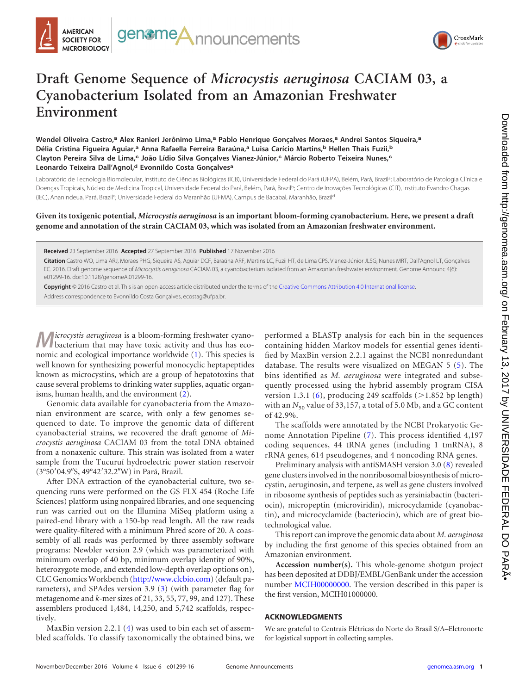



## **Draft Genome Sequence of** *Microcystis aeruginosa* **CACIAM 03, a Cyanobacterium Isolated from an Amazonian Freshwater Environment**

**Wendel Oliveira Castro,<sup>a</sup> Alex Ranieri Jerônimo Lima,<sup>a</sup> Pablo Henrique Gonçalves Moraes,<sup>a</sup> Andrei Santos Siqueira,<sup>a</sup> Délia Cristina Figueira Aguiar,<sup>a</sup> Anna Rafaella Ferreira Baraúna,<sup>a</sup> Luisa Carício Martins,<sup>b</sup> Hellen Thais Fuzii,<sup>b</sup> Clayton Pereira Silva de Lima,<sup>c</sup> João Lídio Silva Gonçalves Vianez-Júnior,<sup>c</sup> Márcio Roberto Teixeira Nunes,<sup>c</sup> Leonardo Teixeira Dall'Agnol,<sup>d</sup> Evonnildo Costa Gonçalves<sup>a</sup>**

Laboratório de Tecnologia Biomolecular, Instituto de Ciências Biológicas (ICB), Universidade Federal do Pará (UFPA), Belém, Pará, Brazil<sup>a</sup>; Laboratório de Patologia Clínica e Doenças Tropicais, Núcleo de Medicina Tropical, Universidade Federal do Pará, Belém, Pará, Brazilb; Centro de Inovações Tecnológicas (CIT), Instituto Evandro Chagas (IEC), Ananindeua, Pará, Brazil<sup>c</sup>; Universidade Federal do Maranhão (UFMA), Campus de Bacabal, Maranhão, Brazil<sup>d</sup>

**Given its toxigenic potential,** *Microcystis aeruginosa* **is an important bloom-forming cyanobacterium. Here, we present a draft genome and annotation of the strain CACIAM 03, which was isolated from an Amazonian freshwater environment.**

**Received** 23 September 2016 **Accepted** 27 September 2016 **Published** 17 November 2016

**Citation** Castro WO, Lima ARJ, Moraes PHG, Siqueira AS, Aguiar DCF, Baraúna ARF, Martins LC, Fuzii HT, de Lima CPS, Vianez-Júnior JLSG, Nunes MRT, Dall'Agnol LT, Gonçalves EC. 2016. Draft genome sequence of *Microcystis aeruginosa* CACIAM 03, a cyanobacterium isolated from an Amazonian freshwater environment. Genome Announc 4(6): e01299-16. doi:10.1128/genomeA.01299-16.

**Copyright** © 2016 Castro et al. This is an open-access article distributed under the terms of the Creative Commons Attribution 4.0 International license. Address correspondence to Evonnildo Costa Gonçalves, ecostag@ufpa.br.

**M***icrocystis aeruginosa* is a bloom-forming freshwater cyano-bacterium that may have toxic activity and thus has economic and ecological importance worldwide [\(1\)](#page-1-0). This species is well known for synthesizing powerful monocyclic heptapeptides known as microcystins, which are a group of hepatotoxins that cause several problems to drinking water supplies, aquatic organisms, human health, and the environment [\(2\)](#page-1-1).

Genomic data available for cyanobacteria from the Amazonian environment are scarce, with only a few genomes sequenced to date. To improve the genomic data of different cyanobacterial strains, we recovered the draft genome of *Microcystis aeruginosa* CACIAM 03 from the total DNA obtained from a nonaxenic culture. This strain was isolated from a water sample from the Tucuruí hydroelectric power station reservoir (3°50'04.9"S, 49°42'32.2"W) in Pará, Brazil.

After DNA extraction of the cyanobacterial culture, two sequencing runs were performed on the GS FLX 454 (Roche Life Sciences) platform using nonpaired libraries, and one sequencing run was carried out on the Illumina MiSeq platform using a paired-end library with a 150-bp read length. All the raw reads were quality-filtered with a minimum Phred score of 20. A coassembly of all reads was performed by three assembly software programs: Newbler version 2.9 (which was parameterized with minimum overlap of 40 bp, minimum overlap identity of 90%, heterozygote mode, and extended low-depth overlap options on), CLC Genomics Workbench (http://www.clcbio.com) (default parameters), and SPAdes version 3.9 [\(3\)](#page-1-2) (with parameter flag for metagenome and *k*-mer sizes of 21, 33, 55, 77, 99, and 127). These assemblers produced 1,484, 14,250, and 5,742 scaffolds, respectively.

MaxBin version 2.2.1 [\(4\)](#page-1-3) was used to bin each set of assembled scaffolds. To classify taxonomically the obtained bins, we

performed a BLASTp analysis for each bin in the sequences containing hidden Markov models for essential genes identified by MaxBin version 2.2.1 against the NCBI nonredundant database. The results were visualized on MEGAN 5 [\(5\)](#page-1-4). The bins identified as *M. aeruginosa* were integrated and subsequently processed using the hybrid assembly program CISA version 1.3.1 [\(6\)](#page-1-5), producing 249 scaffolds  $(>1.852$  bp length) with an  $N_{50}$  value of 33,157, a total of 5.0 Mb, and a GC content of 42.9%.

The scaffolds were annotated by the NCBI Prokaryotic Genome Annotation Pipeline [\(7\)](#page-1-6). This process identified 4,197 coding sequences, 44 tRNA genes (including 1 tmRNA), 8 rRNA genes, 614 pseudogenes, and 4 noncoding RNA genes.

Preliminary analysis with antiSMASH version 3.0 [\(8\)](#page-1-7) revealed gene clusters involved in the nonribosomal biosynthesis of microcystin, aeruginosin, and terpene, as well as gene clusters involved in ribosome synthesis of peptides such as yersiniabactin (bacteriocin), micropeptin (microviridin), microcyclamide (cyanobactin), and microcyclamide (bacteriocin), which are of great biotechnological value.

This report can improve the genomic data about *M. aeruginosa* by including the first genome of this species obtained from an Amazonian environment.

**Accession number(s).** This whole-genome shotgun project has been deposited at DDBJ/EMBL/GenBank under the accession number MCIH00000000. The version described in this paper is the first version, MCIH01000000.

## **ACKNOWLEDGMENTS**

We are grateful to Centrais Elétricas do Norte do Brasil S/A–Eletronorte for logistical support in collecting samples.